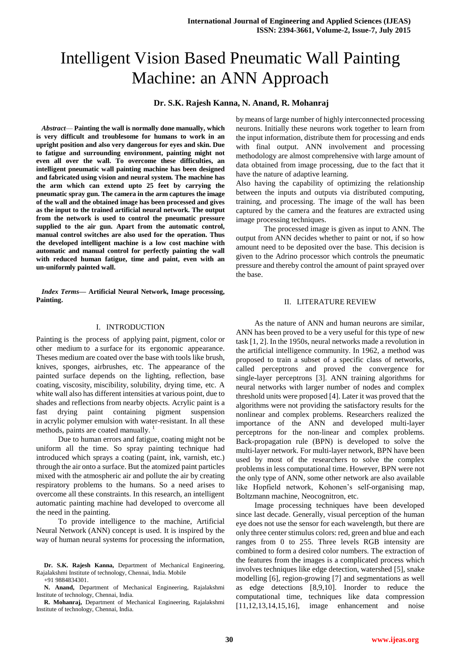# Intelligent Vision Based Pneumatic Wall Painting Machine: an ANN Approach

## **Dr. S.K. Rajesh Kanna, N. Anand, R. Mohanraj**

*Abstract*— **Painting the wall is normally done manually, which is very difficult and troublesome for humans to work in an upright position and also very dangerous for eyes and skin. Due to fatigue and surrounding environment, painting might not even all over the wall. To overcome these difficulties, an intelligent pneumatic wall painting machine has been designed and fabricated using vision and neural system. The machine has the arm which can extend upto 25 feet by carrying the pneumatic spray gun. The camera in the arm captures the image of the wall and the obtained image has been processed and gives as the input to the trained artificial neural network. The output from the network is used to control the pneumatic pressure supplied to the air gun. Apart from the automatic control, manual control switches are also used for the operation. Thus the developed intelligent machine is a low cost machine with automatic and manual control for perfectly painting the wall with reduced human fatigue, time and paint, even with an un-uniformly painted wall.**

*Index Terms***— Artificial Neural Network, Image processing, Painting.**

#### I. INTRODUCTION

Painting is the process of applying [paint,](http://en.wikipedia.org/wiki/Paint) [pigment,](http://en.wikipedia.org/wiki/Pigment) [color](http://en.wikipedia.org/wiki/Color) or other medium to a [surface](http://en.wikipedia.org/wiki/Surface) for its ergonomic appearance. Theses medium are coated over the base with tools like [brush,](http://en.wikipedia.org/wiki/Brush) knives, sponges, [airbrushes,](http://en.wikipedia.org/wiki/Airbrush) etc. The appearance of the painted surface depends on the lighting, reflection, base coating, [viscosity,](http://en.wikipedia.org/wiki/Viscosity) [miscibility,](http://en.wikipedia.org/wiki/Miscibility) [solubility,](http://en.wikipedia.org/wiki/Solubility) drying time, etc. A white wall also has different intensities at various point, due to shades and reflections from nearby objects. [Acrylic paint](http://en.wikipedia.org/wiki/Acrylic_paint) is a fast drying paint containing pigment suspension in [acrylic](http://en.wikipedia.org/wiki/Acrylic_resin) polymer [emulsion](http://en.wikipedia.org/wiki/Emulsion) with water-resistant. In all these methods, paints are coated manually.<sup>1</sup>

Due to human errors and fatigue, coating might not be uniform all the time. So spray painting technique had introduced which sprays a coating (paint, ink, varnish, etc.) through the air onto a surface. But the atomized paint particles mixed with the atmospheric air and pollute the air by creating respiratory problems to the humans. So a need arises to overcome all these constraints. In this research, an intelligent automatic painting machine had developed to overcome all the need in the painting.

To provide intelligence to the machine, Artificial Neural Network (ANN) concept is used. It is inspired by the way of human neural systems for processing the information,

**R. Mohanraj,** Department of Mechanical Engineering, Rajalakshmi Institute of technology, Chennai, India.

by means of large number of highly interconnected processing neurons. Initially these neurons work together to learn from the input information, distribute them for processing and ends with final output. ANN involvement and processing methodology are almost comprehensive with large amount of data obtained from image processing, due to the fact that it have the nature of adaptive learning.

Also having the capability of optimizing the relationship between the inputs and outputs via distributed computing, training, and processing. The image of the wall has been captured by the camera and the features are extracted using image processing techniques.

The processed image is given as input to ANN. The output from ANN decides whether to paint or not, if so how amount need to be deposited over the base. This decision is given to the Adrino processor which controls the pneumatic pressure and thereby control the amount of paint sprayed over the base.

#### II. LITERATURE REVIEW

As the nature of ANN and human neurons are similar, ANN has been proved to be a very useful for this type of new task [1, 2]. In the 1950s, neural networks made a revolution in the artificial intelligence community. In 1962, a method was proposed to train a subset of a specific class of networks, called perceptrons and proved the convergence for single-layer perceptrons [3]. ANN training algorithms for neural networks with larger number of nodes and complex threshold units were proposed [4]. Later it was proved that the algorithms were not providing the satisfactory results for the nonlinear and complex problems. Researchers realized the importance of the ANN and developed multi-layer perceptrons for the non-linear and complex problems. Back-propagation rule (BPN) is developed to solve the multi-layer network. For multi-layer network, BPN have been used by most of the researchers to solve the complex problems in less computational time. However, BPN were not the only type of ANN, some other network are also available like Hopfield network, Kohonen's self-organising map, Boltzmann machine, Neocognitron, etc.

Image processing techniques have been developed since last decade. Generally, visual perception of the human eye does not use the sensor for each wavelength, but there are only three center stimulus colors: red, green and blue and each ranges from 0 to 255. Three levels RGB intensity are combined to form a desired color numbers. The extraction of the features from the images is a complicated process which involves techniques like edge detection, watershed [5], snake modelling [6], region-growing [7] and segmentations as well as edge detections [8,9,10]. Inorder to reduce the computational time, techniques like data compression [11,12,13,14,15,16], image enhancement and noise

**Dr. S.K. Rajesh Kanna,** Department of Mechanical Engineering, Rajalakshmi Institute of technology, Chennai, India. Mobile +91 9884834301.

**N. Anand,** Department of Mechanical Engineering, Rajalakshmi Institute of technology, Chennai, India.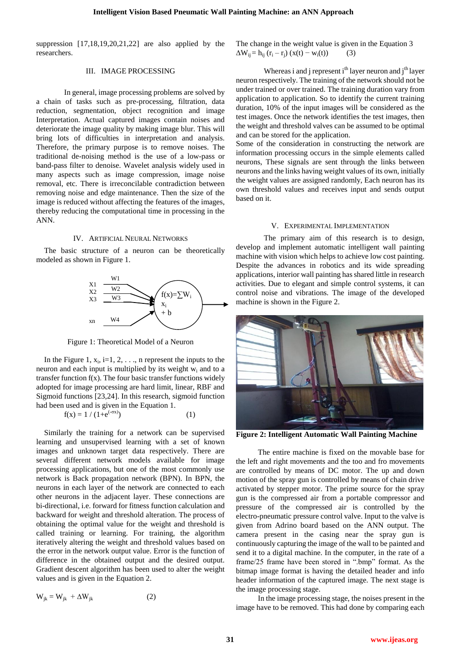suppression [17,18,19,20,21,22] are also applied by the researchers.

## III. IMAGE PROCESSING

In general, image processing problems are solved by a chain of tasks such as pre-processing, filtration, data reduction, segmentation, object recognition and image Interpretation. Actual captured images contain noises and deteriorate the image quality by making image blur. This will bring lots of difficulties in interpretation and analysis. Therefore, the primary purpose is to remove noises. The traditional de-noising method is the use of a low-pass or band-pass filter to denoise. Wavelet analysis widely used in many aspects such as image compression, image noise removal, etc. There is irreconcilable contradiction between removing noise and edge maintenance. Then the size of the image is reduced without affecting the features of the images, thereby reducing the computational time in processing in the ANN.

#### IV. ARTIFICIAL NEURAL NETWORKS

The basic structure of a neuron can be theoretically modeled as shown in Figure 1.



Figure 1: Theoretical Model of a Neuron

In the Figure 1,  $x_i$ , i=1, 2, . . ., n represent the inputs to the neuron and each input is multiplied by its weight w<sup>i</sup> and to a transfer function  $f(x)$ . The four basic transfer functions widely adopted for image processing are hard limit, linear, RBF and Sigmoid functions [23,24]. In this research, sigmoid function had been used and is given in the Equation 1.

$$
f(x) = 1 / (1 + e^{(-\sigma x)})
$$
 (1)

Similarly the training for a network can be supervised learning and unsupervised learning with a set of known images and unknown target data respectively. There are several different network models available for image processing applications, but one of the most commonly use network is Back propagation network (BPN). In BPN, the neurons in each layer of the network are connected to each other neurons in the adjacent layer. These connections are bi-directional, i.e. forward for fitness function calculation and backward for weight and threshold alteration. The process of obtaining the optimal value for the weight and threshold is called training or learning. For training, the algorithm iteratively altering the weight and threshold values based on the error in the network output value. Error is the function of difference in the obtained output and the desired output. Gradient descent algorithm has been used to alter the weight values and is given in the Equation 2.

$$
W_{jk} = W_{jk} + \Delta W_{jk}
$$
 (2)

The change in the weight value is given in the Equation 3  $\Delta W_{ij} = h_{ij} (r_i - r_j) (x(t) - w_i(t))$  (3)

Whereas i and j represent i<sup>th</sup> layer neuron and j<sup>th</sup> layer neuron respectively. The training of the network should not be under trained or over trained. The training duration vary from application to application. So to identify the current training duration, 10% of the input images will be considered as the test images. Once the network identifies the test images, then the weight and threshold valves can be assumed to be optimal and can be stored for the application.

Some of the consideration in constructing the network are information processing occurs in the simple elements called neurons, These signals are sent through the links between neurons and the links having weight values of its own, initially the weight values are assigned randomly, Each neuron has its own threshold values and receives input and sends output based on it.

## V. EXPERIMENTAL IMPLEMENTATION

The primary aim of this research is to design, develop and implement automatic intelligent wall painting machine with vision which helps to achieve low cost painting. Despite the advances in robotics and its wide spreading applications, interior wall painting has shared little in research activities. Due to elegant and simple control systems, it can control noise and vibrations. The image of the developed machine is shown in the Figure 2.



**Figure 2: Intelligent Automatic Wall Painting Machine**

The entire machine is fixed on the movable base for the left and right movements and the too and fro movements are controlled by means of DC motor. The up and down motion of the spray gun is controlled by means of chain drive activated by stepper motor. The prime source for the spray gun is the compressed air from a portable compressor and pressure of the compressed air is controlled by the electro-pneumatic pressure control valve. Input to the valve is given from Adrino board based on the ANN output. The camera present in the casing near the spray gun is continuously capturing the image of the wall to be painted and send it to a digital machine. In the computer, in the rate of a frame/25 frame have been stored in ".bmp" format. As the bitmap image format is having the detailed header and info header information of the captured image. The next stage is the image processing stage.

In the image processing stage, the noises present in the image have to be removed. This had done by comparing each